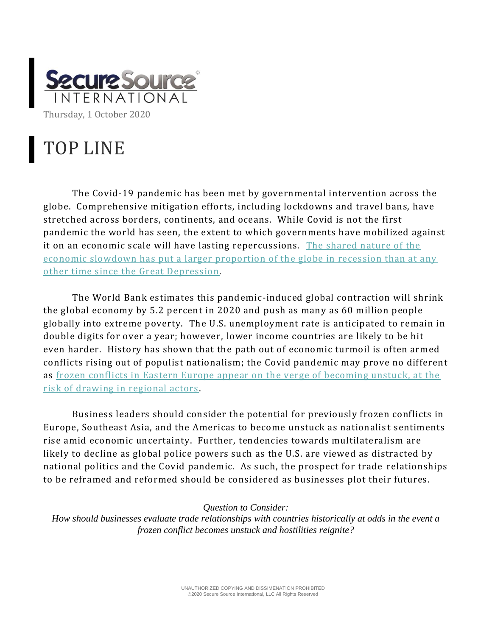

## TOP LINE

The Covid-19 pandemic has been met by governmental intervention across the globe. Comprehensive mitigation efforts, including lockdowns and travel bans, have stretched across borders, continents, and oceans. While Covid is not the first pandemic the world has seen, the extent to which governments have mobilized against it on an economic scale will have lasting repercussions. [The shared nature of the](https://www.foreignaffairs.com/articles/united-states/2020-08-06/coronavirus-depression-global-economy)  [economic slowdown has put a larger proportion of the globe in recession than at any](https://www.foreignaffairs.com/articles/united-states/2020-08-06/coronavirus-depression-global-economy)  [other time since the Great Depression.](https://www.foreignaffairs.com/articles/united-states/2020-08-06/coronavirus-depression-global-economy)

The World Bank estimates this pandemic-induced global contraction will shrink the global economy by 5.2 percent in 2020 and push as many as 60 million people globally into extreme poverty. The U.S. unemployment rate is anticipated to remain in double digits for over a year; however, lower income countries are likely to be hit even harder. History has shown that the path out of economic turmoil is often armed conflicts rising out of populist nationalism; the Covid pandemic may prove no different as [frozen conflicts in Eastern Europe appear on the verge of becoming unstuck, at the](https://www.nytimes.com/2020/09/28/world/asia/azerbaijan-armenia-nagorno-karabakh.html)  [risk of drawing in regional actors](https://www.nytimes.com/2020/09/28/world/asia/azerbaijan-armenia-nagorno-karabakh.html) .

Business leaders should consider the potential for previously frozen conflicts in Europe, Southeast Asia, and the Americas to become unstuck as nationalis t sentiments rise amid economic uncertainty. Further, tendencies towards multilateralism are likely to decline as global police powers such as the U.S. are viewed as distracted by national politics and the Covid pandemic. As such, the prospect for trade relationships to be reframed and reformed should be considered as businesses plot their futures.

## *Question to Consider:*

*How should businesses evaluate trade relationships with countries historically at odds in the event a frozen conflict becomes unstuck and hostilities reignite?*